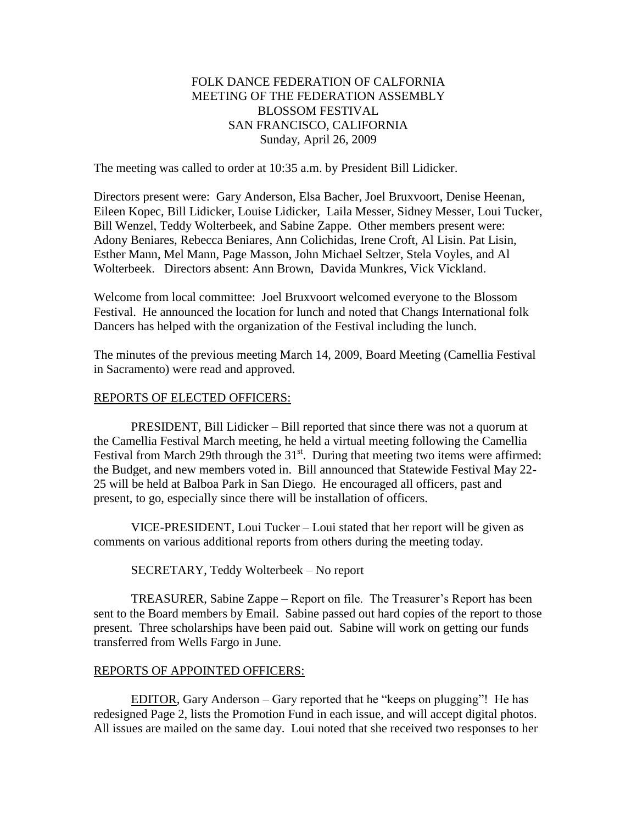# FOLK DANCE FEDERATION OF CALFORNIA MEETING OF THE FEDERATION ASSEMBLY BLOSSOM FESTIVAL SAN FRANCISCO, CALIFORNIA Sunday, April 26, 2009

The meeting was called to order at 10:35 a.m. by President Bill Lidicker.

Directors present were: Gary Anderson, Elsa Bacher, Joel Bruxvoort, Denise Heenan, Eileen Kopec, Bill Lidicker, Louise Lidicker, Laila Messer, Sidney Messer, Loui Tucker, Bill Wenzel, Teddy Wolterbeek, and Sabine Zappe. Other members present were: Adony Beniares, Rebecca Beniares, Ann Colichidas, Irene Croft, Al Lisin. Pat Lisin, Esther Mann, Mel Mann, Page Masson, John Michael Seltzer, Stela Voyles, and Al Wolterbeek. Directors absent: Ann Brown, Davida Munkres, Vick Vickland.

Welcome from local committee: Joel Bruxvoort welcomed everyone to the Blossom Festival. He announced the location for lunch and noted that Changs International folk Dancers has helped with the organization of the Festival including the lunch.

The minutes of the previous meeting March 14, 2009, Board Meeting (Camellia Festival in Sacramento) were read and approved.

## REPORTS OF ELECTED OFFICERS:

PRESIDENT, Bill Lidicker – Bill reported that since there was not a quorum at the Camellia Festival March meeting, he held a virtual meeting following the Camellia Festival from March 29th through the 31<sup>st</sup>. During that meeting two items were affirmed: the Budget, and new members voted in. Bill announced that Statewide Festival May 22- 25 will be held at Balboa Park in San Diego. He encouraged all officers, past and present, to go, especially since there will be installation of officers.

VICE-PRESIDENT, Loui Tucker – Loui stated that her report will be given as comments on various additional reports from others during the meeting today.

SECRETARY, Teddy Wolterbeek – No report

TREASURER, Sabine Zappe – Report on file. The Treasurer's Report has been sent to the Board members by Email. Sabine passed out hard copies of the report to those present. Three scholarships have been paid out. Sabine will work on getting our funds transferred from Wells Fargo in June.

## REPORTS OF APPOINTED OFFICERS:

EDITOR, Gary Anderson – Gary reported that he "keeps on plugging"! He has redesigned Page 2, lists the Promotion Fund in each issue, and will accept digital photos. All issues are mailed on the same day. Loui noted that she received two responses to her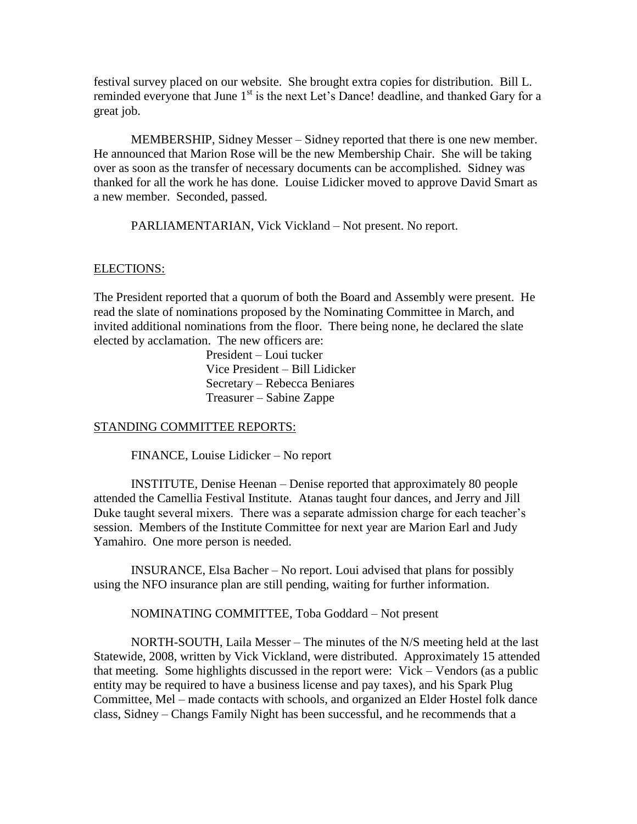festival survey placed on our website. She brought extra copies for distribution. Bill L. reminded everyone that June  $1<sup>st</sup>$  is the next Let's Dance! deadline, and thanked Gary for a great job.

MEMBERSHIP, Sidney Messer – Sidney reported that there is one new member. He announced that Marion Rose will be the new Membership Chair. She will be taking over as soon as the transfer of necessary documents can be accomplished. Sidney was thanked for all the work he has done. Louise Lidicker moved to approve David Smart as a new member. Seconded, passed.

PARLIAMENTARIAN, Vick Vickland – Not present. No report.

#### ELECTIONS:

The President reported that a quorum of both the Board and Assembly were present. He read the slate of nominations proposed by the Nominating Committee in March, and invited additional nominations from the floor. There being none, he declared the slate elected by acclamation. The new officers are:

> President – Loui tucker Vice President – Bill Lidicker Secretary – Rebecca Beniares Treasurer – Sabine Zappe

### STANDING COMMITTEE REPORTS:

FINANCE, Louise Lidicker – No report

INSTITUTE, Denise Heenan – Denise reported that approximately 80 people attended the Camellia Festival Institute. Atanas taught four dances, and Jerry and Jill Duke taught several mixers. There was a separate admission charge for each teacher's session. Members of the Institute Committee for next year are Marion Earl and Judy Yamahiro. One more person is needed.

INSURANCE, Elsa Bacher – No report. Loui advised that plans for possibly using the NFO insurance plan are still pending, waiting for further information.

NOMINATING COMMITTEE, Toba Goddard – Not present

NORTH-SOUTH, Laila Messer – The minutes of the N/S meeting held at the last Statewide, 2008, written by Vick Vickland, were distributed. Approximately 15 attended that meeting. Some highlights discussed in the report were: Vick – Vendors (as a public entity may be required to have a business license and pay taxes), and his Spark Plug Committee, Mel – made contacts with schools, and organized an Elder Hostel folk dance class, Sidney – Changs Family Night has been successful, and he recommends that a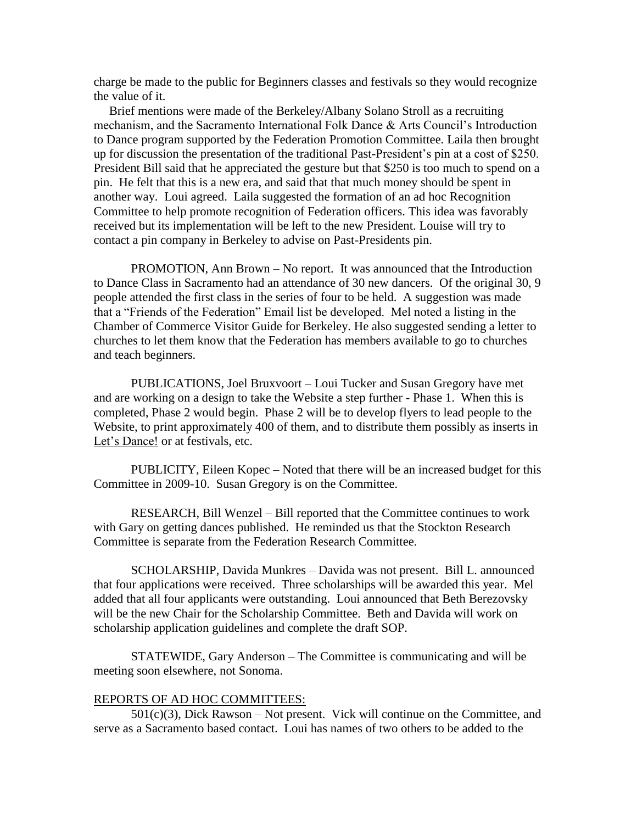charge be made to the public for Beginners classes and festivals so they would recognize the value of it.

 Brief mentions were made of the Berkeley/Albany Solano Stroll as a recruiting mechanism, and the Sacramento International Folk Dance & Arts Council's Introduction to Dance program supported by the Federation Promotion Committee. Laila then brought up for discussion the presentation of the traditional Past-President's pin at a cost of \$250. President Bill said that he appreciated the gesture but that \$250 is too much to spend on a pin. He felt that this is a new era, and said that that much money should be spent in another way. Loui agreed. Laila suggested the formation of an ad hoc Recognition Committee to help promote recognition of Federation officers. This idea was favorably received but its implementation will be left to the new President. Louise will try to contact a pin company in Berkeley to advise on Past-Presidents pin.

PROMOTION, Ann Brown – No report. It was announced that the Introduction to Dance Class in Sacramento had an attendance of 30 new dancers. Of the original 30, 9 people attended the first class in the series of four to be held. A suggestion was made that a "Friends of the Federation" Email list be developed. Mel noted a listing in the Chamber of Commerce Visitor Guide for Berkeley. He also suggested sending a letter to churches to let them know that the Federation has members available to go to churches and teach beginners.

PUBLICATIONS, Joel Bruxvoort – Loui Tucker and Susan Gregory have met and are working on a design to take the Website a step further - Phase 1. When this is completed, Phase 2 would begin. Phase 2 will be to develop flyers to lead people to the Website, to print approximately 400 of them, and to distribute them possibly as inserts in Let's Dance! or at festivals, etc.

PUBLICITY, Eileen Kopec – Noted that there will be an increased budget for this Committee in 2009-10. Susan Gregory is on the Committee.

RESEARCH, Bill Wenzel – Bill reported that the Committee continues to work with Gary on getting dances published. He reminded us that the Stockton Research Committee is separate from the Federation Research Committee.

SCHOLARSHIP, Davida Munkres – Davida was not present. Bill L. announced that four applications were received. Three scholarships will be awarded this year. Mel added that all four applicants were outstanding. Loui announced that Beth Berezovsky will be the new Chair for the Scholarship Committee. Beth and Davida will work on scholarship application guidelines and complete the draft SOP.

STATEWIDE, Gary Anderson – The Committee is communicating and will be meeting soon elsewhere, not Sonoma.

### REPORTS OF AD HOC COMMITTEES:

 $501(c)(3)$ , Dick Rawson – Not present. Vick will continue on the Committee, and serve as a Sacramento based contact. Loui has names of two others to be added to the